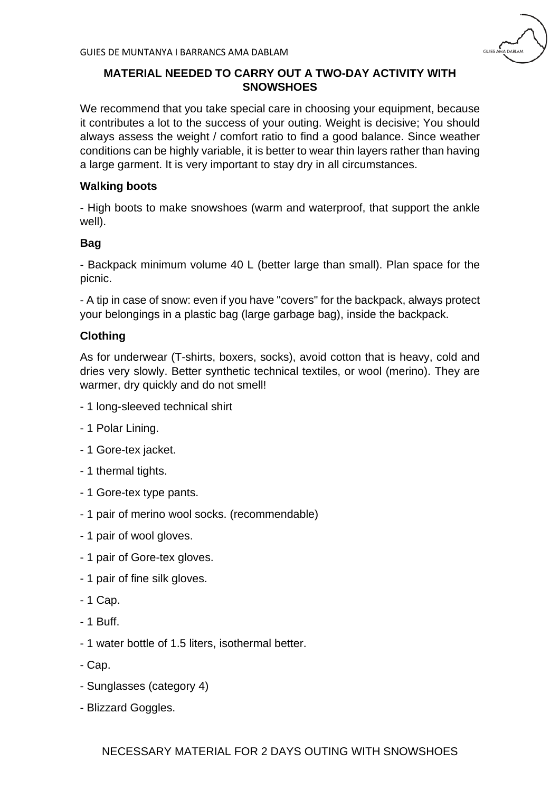

# **MATERIAL NEEDED TO CARRY OUT A TWO-DAY ACTIVITY WITH SNOWSHOES**

We recommend that you take special care in choosing your equipment, because it contributes a lot to the success of your outing. Weight is decisive; You should always assess the weight / comfort ratio to find a good balance. Since weather conditions can be highly variable, it is better to wear thin layers rather than having a large garment. It is very important to stay dry in all circumstances.

# **Walking boots**

- High boots to make snowshoes (warm and waterproof, that support the ankle well).

#### **Bag**

- Backpack minimum volume 40 L (better large than small). Plan space for the picnic.

- A tip in case of snow: even if you have "covers" for the backpack, always protect your belongings in a plastic bag (large garbage bag), inside the backpack.

### **Clothing**

As for underwear (T-shirts, boxers, socks), avoid cotton that is heavy, cold and dries very slowly. Better synthetic technical textiles, or wool (merino). They are warmer, dry quickly and do not smell!

- 1 long-sleeved technical shirt
- 1 Polar Lining.
- 1 Gore-tex jacket.
- 1 thermal tights.
- 1 Gore-tex type pants.
- 1 pair of merino wool socks. (recommendable)
- 1 pair of wool gloves.
- 1 pair of Gore-tex gloves.
- 1 pair of fine silk gloves.
- 1 Cap.
- 1 Buff.
- 1 water bottle of 1.5 liters, isothermal better.
- Cap.
- Sunglasses (category 4)
- Blizzard Goggles.